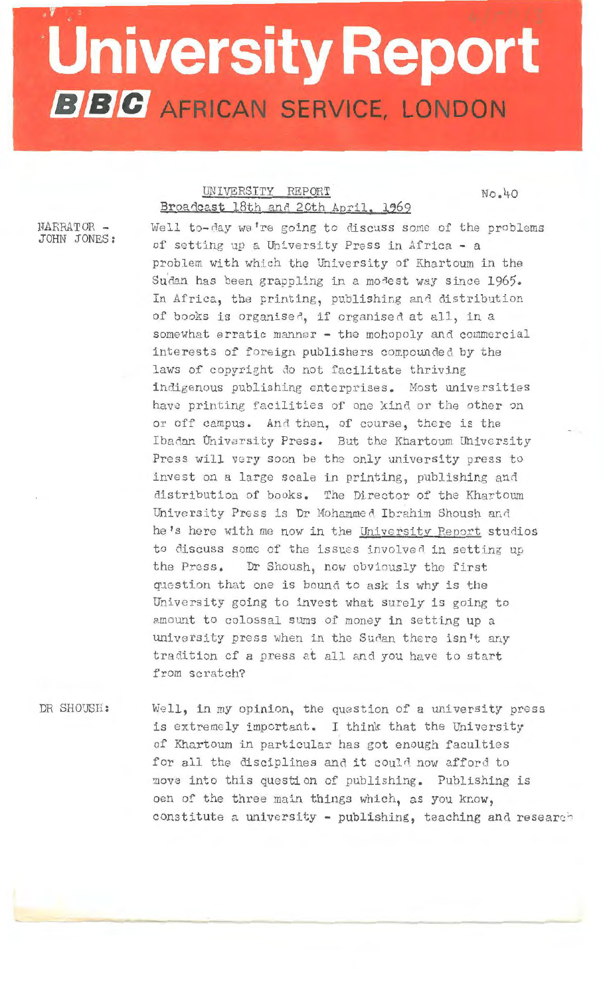## **University Report BBC** AFRICAN SERVICE, LONDON

## UNIVERSITY REPORT Broadcast 18th and 20th April, 1969

No.40

NARRATOR -JOHN JONES: Well to-day we're going to discuss some of the problems of setting up a University Press in Africa - a problem with which the University of Khartoum in the Sudan has been grappling in a modest way since 1965. In Africa, the printing, publishing and distribution of books is organised, if organised at all, in a somewhat erratic manner - the mohopoly and commercial interests of foreign publishers compounded by the laws of copyright do not facilitate thriving indigenous publishing enterprises. Most universities have printing facilities of one kind or the other on or off campus. And then, of course, there is the Ibadan University Press. But the Khartoum University Press will very soon be the only university press to invest on a large scale in printing, publishing and distribution of books. The Director of the Khartoum University Press is Dr Mohammed Ibrahim Shoush and he's here with me now in the University Report studios to discuss some of the issues involved in setting up the Press. Dr Shoush, now obviously the first question that one is bound to ask is why is the University going to invest what surely is going to amount to colossal sums of money in setting up a university press when in the Sudan there isn't any tradition of a press at all and you have to start from scratch?

DR SHOUSH:

Well, in my opinion, the question of a university press is extremely important. I think that the University of Khartoum in particular has got enough faculties for all the disciplines and it could now afford to move into this question of publishing. Publishing is oen of the three main things which, as you know, constitute a university - publishing, teaching and research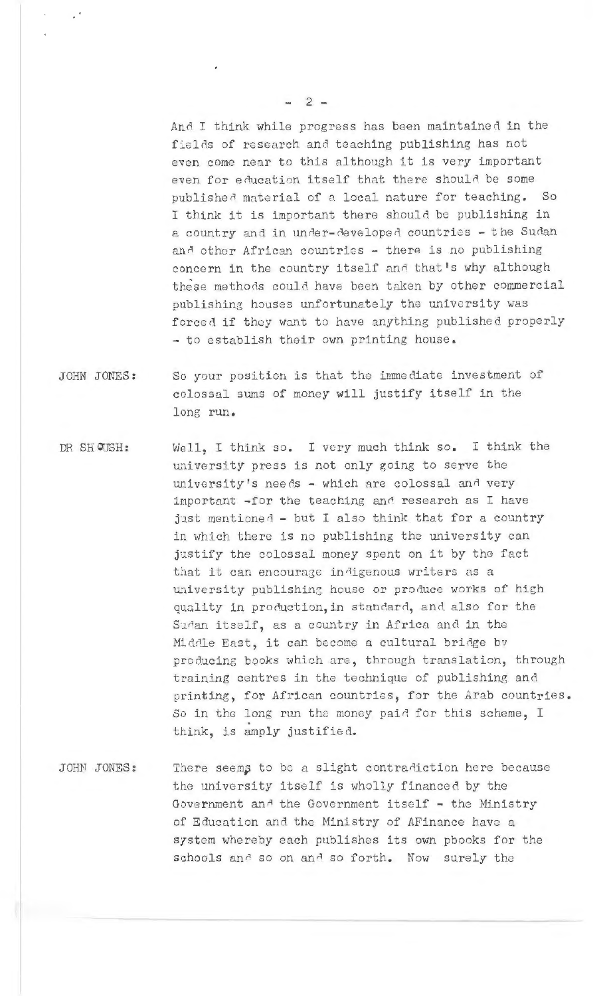And I think while progress has been maintained in the fields of research and teaching publishing has not even come near to this although it is very important even for education itself that there should be some published material of a local nature for teaching. So I think it is important there should be publishing in a country and in under-developed countries - the Sudan and other African countries - there is no publishing concern in the country itself and that's why although these methods could have been taken by other commercial publishing houses unfortunately the university was forced if they want to have anything published properly - to establish their own printing house.

- JOHN JONES: So your position is that the immediate investment of colossal sums of money will justify itself in the lone run.
- DR SHQUSH: Well, I think so. I very much think so. I think the university press is not only going to serve the university's needs - which are colossal and very important -for the teaching and research as I have just mentioned - but I also think that for a country in which there is no publishing the university can justify the colossal money spent on it by the fact that it can encourage in<sup>d</sup>igenous writers as a university publishing house or produce works of high quality in production, in standard, and also for the Suran itself, as a country in Africa and in the Middle East, it can become a cultural bridge by producing books which are, through translation, through training centres in the technique of publishing and printing, for African countries, for the Arab countries. So in the long run the money paid for this scheme, I think, is amply justified.
- JOHN JONES: There seems to be a slight contradiction here because the university itself is wholly financed by the Government and the Government itself - the Ministry of Education and the Ministry of AFinance have a system whereby each publishes its own pbooks for the schools and so on and so forth. Now surely the

 $-2-$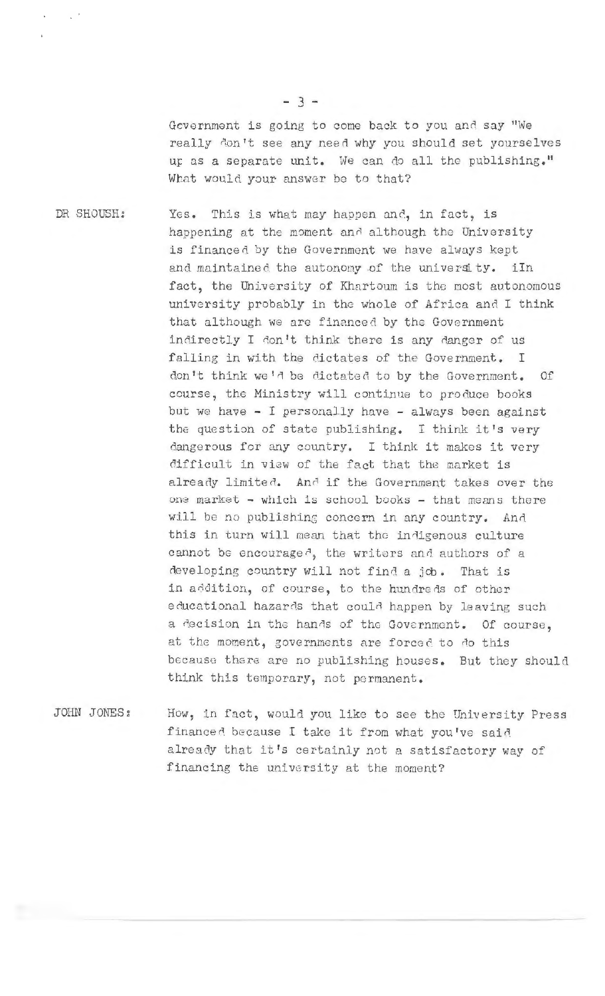Government is going to come back to you and say "We really don't see any need why you should set yourselves up as a separate unit. We can do all the publishing." What would your answer be to that?

DR SHOUSH:

This is what may happen and, in fact, is Yes. happening at the moment and although the University is financed by the Government we have always kept and maintained the autonomy of the university. iIn fact, the University of Khartoum is the most autonomous university probably in the whole of Africa and I think that although we are financed by the Government indirectly I don't think there is any danger of us falling in with the dictates of the Government. I don't think we'd be dictated to by the Government.  $0f$ course, the Ministry will continue to produce books but we have - I personally have - always been against the question of state publishing. I think it's very dangerous for any country. I think it makes it very difficult in view of the fact that the market is already limited. And if the Government takes over the one market - which is school books - that means there will be no publishing concern in any country. And this in turn will mean that the indigenous culture cannot be encouraged, the writers and authors of a developing country will not find a job. That is in addition, of course, to the hundreds of other educational hazards that could happen by leaving such a decision in the hands of the Government. Of course, at the moment, governments are forced to do this because there are no publishing houses. But they should think this temporary, not permanent.

JOHN JONES: How, in fact, would you like to see the University Press financed because I take it from what you've said already that it's certainly not a satisfactory way of financing the university at the moment?

 $-3-$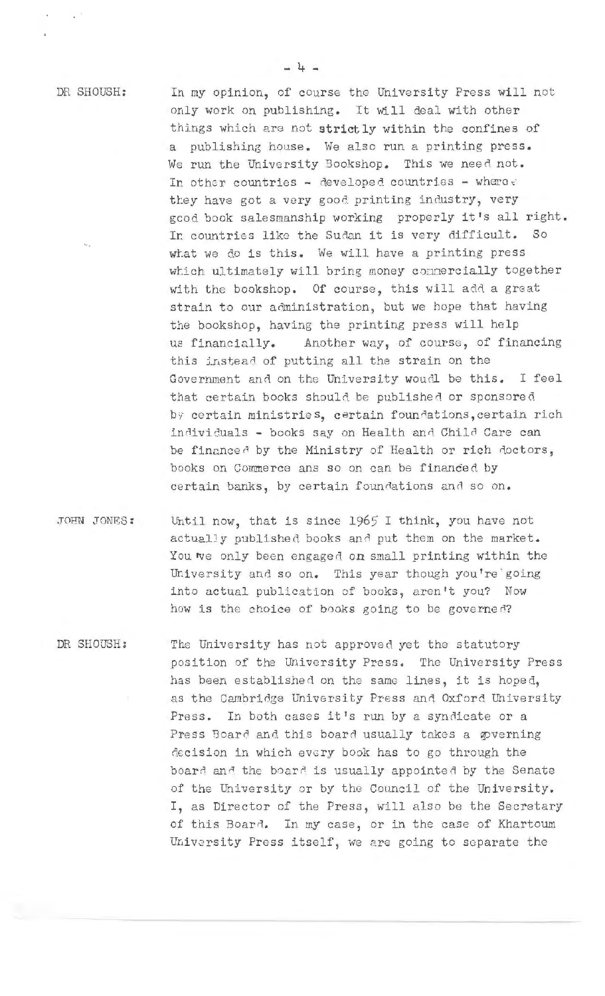DR SHOUSH:

In my opinion, of course the University Press will not only work on publishing. It will deal with other things which are not strictly within the confines of a publishing house. We also run a printing press. We run the University Bookshop. This we need not. In other countries - developed countries - where c they have got a very good printing industry, very good book salesmanship working properly it's all right. In countries like the Sudan it is very difficult.  $50$ what we do is this. We will have a printing press which ultimately will bring money connercially together with the bookshop. Of course, this will add a great strain to our administration, but we hope that having the bookshop, having the printing press will help Another way, of course, of financing us financially. this instead of putting all the strain on the Government and on the University would be this. I feel that certain books should be published or sponsored by certain ministries, certain foundations, certain rich individuals - books say on Health and Child Care can be financed by the Ministry of Health or rich doctors, books on Commerce ans so on can be financed by certain banks, by certain foundations and so on.

- Until now, that is since 1965 I think, you have not JOHN JONES: actually published books and put them on the market. You we only been engaged on small printing within the University and so on. This year though you're going into actual publication of books, aren't you? Now how is the choice of books going to be governed?
- DR SHOUSH: The University has not approved yet the statutory position of the University Press. The University Press has been established on the same lines, it is hoped, as the Cambridge University Press and Oxford University Press. In both cases it's run by a syndicate or a Press Board and this board usually takes a governing decision in which every book has to go through the board and the board is usually appointed by the Senate of the University or by the Council of the University. I, as Director of the Press, will also be the Secretary of this Board. In my case, or in the case of Khartoum University Press itself, we are going to separate the

 $-4 -$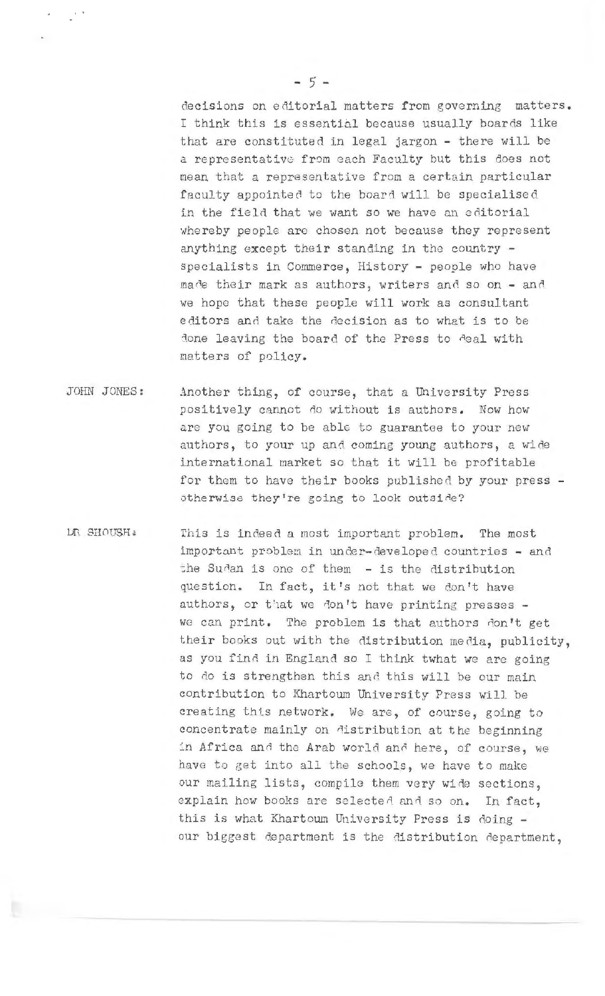decisions on editorial matters from governing matters. I think this is essential because usually boards like that are constituted in legal jargon - there will be a representative from each Faculty but this does not mean that a representative from a certain particular faculty appointed to the board will be specialised in the field that we want so we have an editorial whereby people are chosen not because they represent anything except their standing in the country specialists in Commerce, History - people who have made their mark as authors, writers and so on - and we hope that these people will work as consultant editors and take the decision as to what is to be done leaving the board of the Press to deal with matters of policy.

- JOHN JONES: Another thing, of course, that a University Press positively cannot do without is authors. Now how are you going to be able to guarantee to your new authors, to your up and coming young authors, a wide international market so that it will be profitable for them to have their books published by your press otherwise they're going to look outside?
- **LE SHOUSH:** This is indeed a most important problem. The most important problem in under-developed countries - and the Sudan is one of them - is the distribution question. In fact, it's not that we don't have authors, or that we don't have printing presses we can print. The problem is that authors don't get their books out with the distribution media, publicity, as you find in England so I think twhat we are going to do is strengthen this and this will be our main contribution to Khartoum University Press will be creating this network. We are, of course, going to concentrate mainly on distribution at the beginning in Africa and the Arab world and here, of course, we have to get into all the schools, we have to make our mailing lists, compile them very wide sections, explain how books are selected and so on. In fact, this is what Khartoum University Press is doing our biggest department is the distribution department,

 $-5-$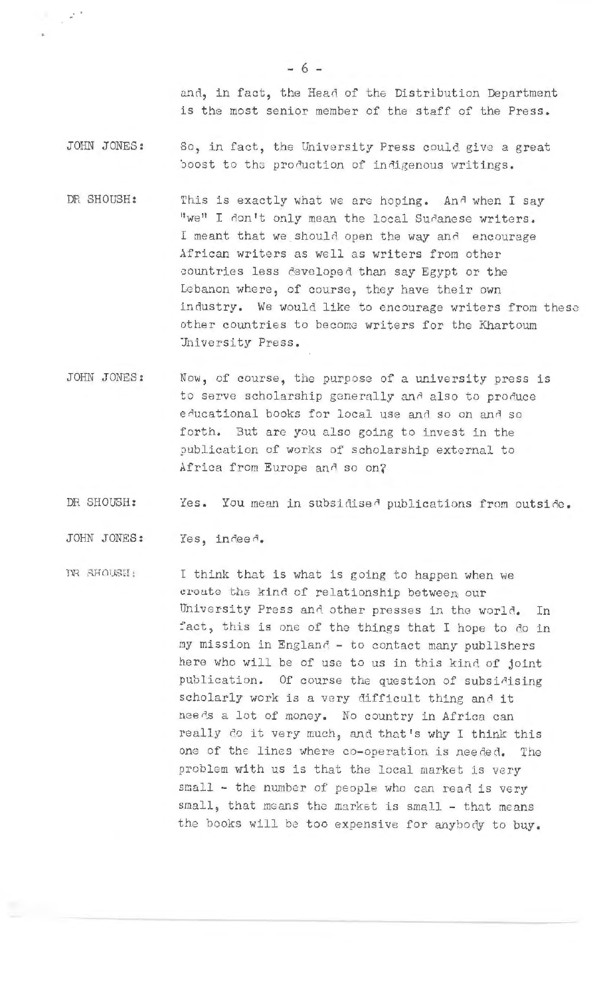and, in fact, the Head of the Distribution Department is the most senior member of the staff of the Press.

JOHN JONES: So, in fact, the University Press could give a grea<sup>t</sup> boost to the production of indigenous writings.

- DR SHOUSH: This is exactly what we are hoping. And when I say "we" I don't only mean the local Sudanese writers. I meant that we should open the way and encourage African writers as well as writers from other countries less developed than say Egypt or the Lebanon where, of course, they have their own industry. We would like to encourage writers from these other countries to become writers for the Khartoum University Press.
- JOHN JONES : Now, of course, the purpose of a university press is to serve scholarship generally and also to produce educational books for local use and so on and so forth. But arc you also going to invest in the publication of works of scholarship external to Africa from Europe and so on?
- DR SHOUSH: Yes. You mean in subsidised publications from outside.

JOHN JONES: Yes, indeed.

. .

.

 $\mathbb{R}$  SHOUSH; I think that is what is going to happen when we create the kind of relationship between our University Press and other presses in the world. In fact, this is one of the things that I hope to do in my mission in Englanf - to contact many publlshers here who will be of use to us in this kind of joint publication. Of course the question of subsidising scholarly work is a very difficult thing and it needs a lot of money. No country in Africa can really do it very much, and that's why I think this one of the lines where co-operation is needed. The problem with us is that the local market is very small - the number of people who can read is very small, that means the market is small - that means the books will be too expensive for anybody to buy.

- 6 -